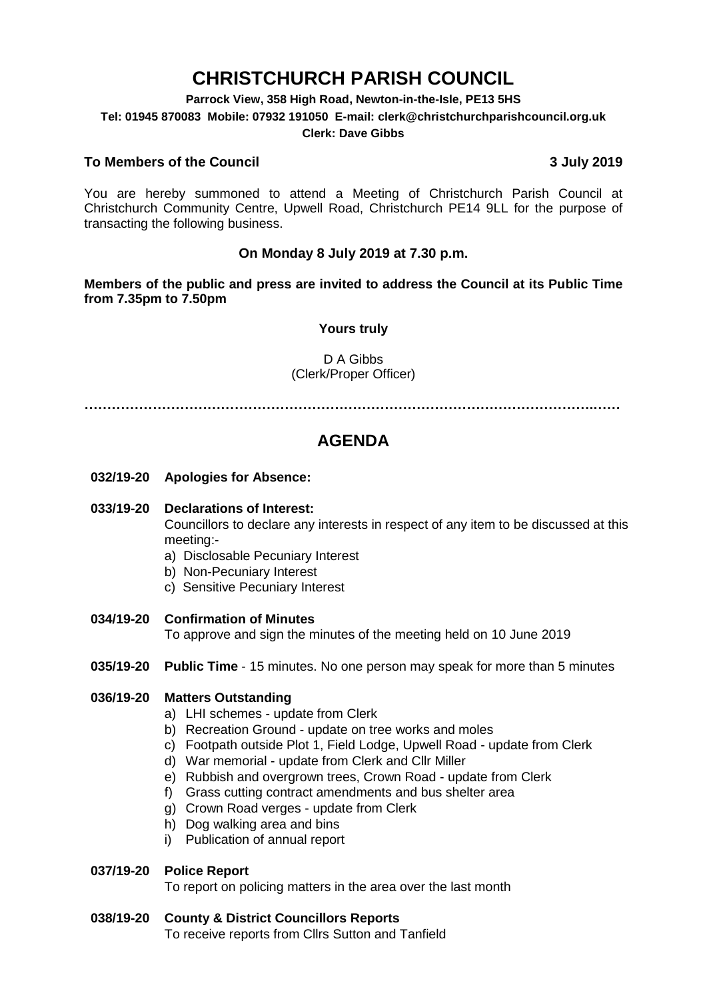# **CHRISTCHURCH PARISH COUNCIL**

**Parrock View, 358 High Road, Newton-in-the-Isle, PE13 5HS**

**Tel: 01945 870083 Mobile: 07932 191050 E-mail: clerk@christchurchparishcouncil.org.uk**

#### **Clerk: Dave Gibbs**

#### **To Members of the Council 3 July 2019**

You are hereby summoned to attend a Meeting of Christchurch Parish Council at Christchurch Community Centre, Upwell Road, Christchurch PE14 9LL for the purpose of transacting the following business.

#### **On Monday 8 July 2019 at 7.30 p.m.**

**Members of the public and press are invited to address the Council at its Public Time from 7.35pm to 7.50pm**

#### **Yours truly**

#### D A Gibbs (Clerk/Proper Officer)

**………………………………………………………………………………………………….……**

## **AGENDA**

**032/19-20 Apologies for Absence:** 

#### **033/19-20 Declarations of Interest:**

Councillors to declare any interests in respect of any item to be discussed at this meeting:-

- a) Disclosable Pecuniary Interest
- b) Non-Pecuniary Interest
- c) Sensitive Pecuniary Interest
- **034/19-20 Confirmation of Minutes**

To approve and sign the minutes of the meeting held on 10 June 2019

**035/19-20 Public Time** - 15 minutes. No one person may speak for more than 5 minutes

#### **036/19-20 Matters Outstanding**

- a) LHI schemes update from Clerk
- b) Recreation Ground update on tree works and moles
- c) Footpath outside Plot 1, Field Lodge, Upwell Road update from Clerk
- d) War memorial update from Clerk and Cllr Miller
- e) Rubbish and overgrown trees, Crown Road update from Clerk
- f) Grass cutting contract amendments and bus shelter area
- g) Crown Road verges update from Clerk
- h) Dog walking area and bins
- i) Publication of annual report

#### **037/19-20 Police Report**

To report on policing matters in the area over the last month

#### **038/19-20 County & District Councillors Reports**

To receive reports from Cllrs Sutton and Tanfield